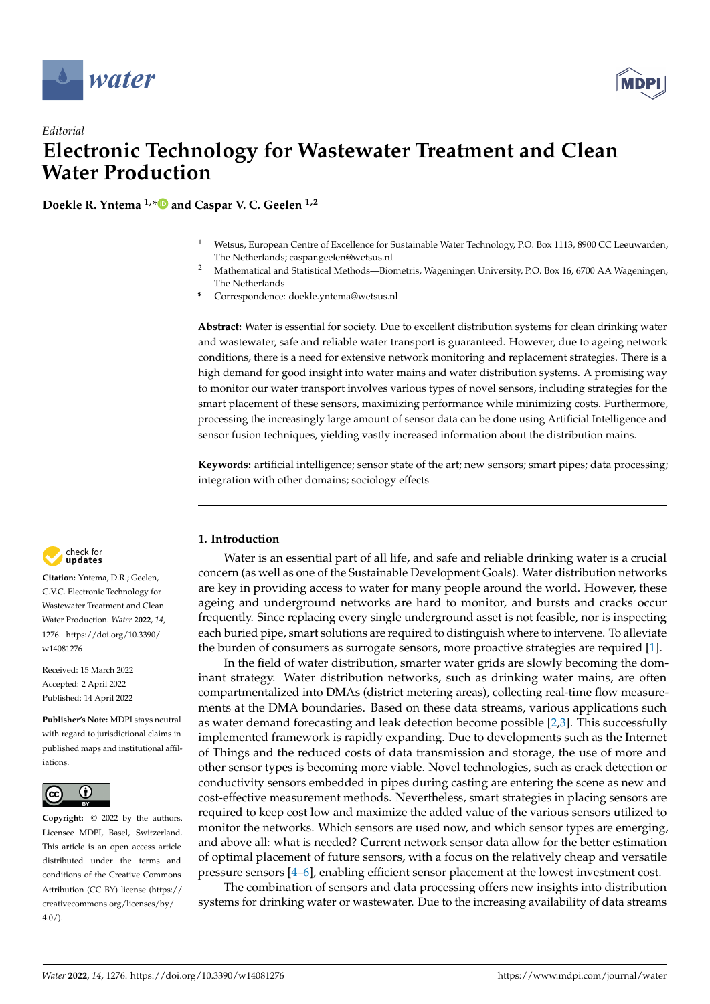



# *Editorial* **Electronic Technology for Wastewater Treatment and Clean Water Production**

**Doekle R. Yntema 1,[\\*](https://orcid.org/0000-0002-4432-6577) and Caspar V. C. Geelen 1,2**

- <sup>1</sup> Wetsus, European Centre of Excellence for Sustainable Water Technology, P.O. Box 1113, 8900 CC Leeuwarden, The Netherlands; caspar.geelen@wetsus.nl
- <sup>2</sup> Mathematical and Statistical Methods—Biometris, Wageningen University, P.O. Box 16, 6700 AA Wageningen, The Netherlands
- **\*** Correspondence: doekle.yntema@wetsus.nl

**Abstract:** Water is essential for society. Due to excellent distribution systems for clean drinking water and wastewater, safe and reliable water transport is guaranteed. However, due to ageing network conditions, there is a need for extensive network monitoring and replacement strategies. There is a high demand for good insight into water mains and water distribution systems. A promising way to monitor our water transport involves various types of novel sensors, including strategies for the smart placement of these sensors, maximizing performance while minimizing costs. Furthermore, processing the increasingly large amount of sensor data can be done using Artificial Intelligence and sensor fusion techniques, yielding vastly increased information about the distribution mains.

**Keywords:** artificial intelligence; sensor state of the art; new sensors; smart pipes; data processing; integration with other domains; sociology effects



**Citation:** Yntema, D.R.; Geelen, C.V.C. Electronic Technology for Wastewater Treatment and Clean Water Production. *Water* **2022**, *14*, 1276. [https://doi.org/10.3390/](https://doi.org/10.3390/w14081276) [w14081276](https://doi.org/10.3390/w14081276)

Received: 15 March 2022 Accepted: 2 April 2022 Published: 14 April 2022

**Publisher's Note:** MDPI stays neutral with regard to jurisdictional claims in published maps and institutional affiliations.



**Copyright:** © 2022 by the authors. Licensee MDPI, Basel, Switzerland. This article is an open access article distributed under the terms and conditions of the Creative Commons Attribution (CC BY) license [\(https://](https://creativecommons.org/licenses/by/4.0/) [creativecommons.org/licenses/by/](https://creativecommons.org/licenses/by/4.0/)  $4.0/$ ).

## **1. Introduction**

Water is an essential part of all life, and safe and reliable drinking water is a crucial concern (as well as one of the Sustainable Development Goals). Water distribution networks are key in providing access to water for many people around the world. However, these ageing and underground networks are hard to monitor, and bursts and cracks occur frequently. Since replacing every single underground asset is not feasible, nor is inspecting each buried pipe, smart solutions are required to distinguish where to intervene. To alleviate the burden of consumers as surrogate sensors, more proactive strategies are required [\[1\]](#page-3-0).

In the field of water distribution, smarter water grids are slowly becoming the dominant strategy. Water distribution networks, such as drinking water mains, are often compartmentalized into DMAs (district metering areas), collecting real-time flow measurements at the DMA boundaries. Based on these data streams, various applications such as water demand forecasting and leak detection become possible [\[2](#page-3-1)[,3\]](#page-3-2). This successfully implemented framework is rapidly expanding. Due to developments such as the Internet of Things and the reduced costs of data transmission and storage, the use of more and other sensor types is becoming more viable. Novel technologies, such as crack detection or conductivity sensors embedded in pipes during casting are entering the scene as new and cost-effective measurement methods. Nevertheless, smart strategies in placing sensors are required to keep cost low and maximize the added value of the various sensors utilized to monitor the networks. Which sensors are used now, and which sensor types are emerging, and above all: what is needed? Current network sensor data allow for the better estimation of optimal placement of future sensors, with a focus on the relatively cheap and versatile pressure sensors [\[4](#page-3-3)[–6\]](#page-3-4), enabling efficient sensor placement at the lowest investment cost.

The combination of sensors and data processing offers new insights into distribution systems for drinking water or wastewater. Due to the increasing availability of data streams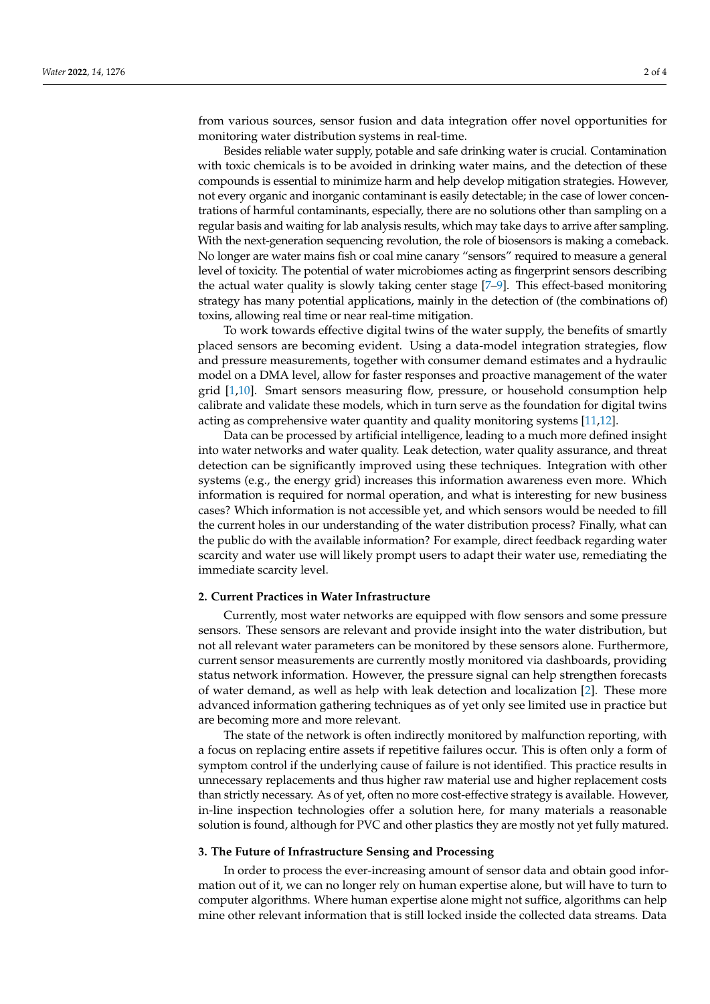from various sources, sensor fusion and data integration offer novel opportunities for monitoring water distribution systems in real-time.

Besides reliable water supply, potable and safe drinking water is crucial. Contamination with toxic chemicals is to be avoided in drinking water mains, and the detection of these compounds is essential to minimize harm and help develop mitigation strategies. However, not every organic and inorganic contaminant is easily detectable; in the case of lower concentrations of harmful contaminants, especially, there are no solutions other than sampling on a regular basis and waiting for lab analysis results, which may take days to arrive after sampling. With the next-generation sequencing revolution, the role of biosensors is making a comeback. No longer are water mains fish or coal mine canary "sensors" required to measure a general level of toxicity. The potential of water microbiomes acting as fingerprint sensors describing the actual water quality is slowly taking center stage [\[7–](#page-3-5)[9\]](#page-3-6). This effect-based monitoring strategy has many potential applications, mainly in the detection of (the combinations of) toxins, allowing real time or near real-time mitigation.

To work towards effective digital twins of the water supply, the benefits of smartly placed sensors are becoming evident. Using a data-model integration strategies, flow and pressure measurements, together with consumer demand estimates and a hydraulic model on a DMA level, allow for faster responses and proactive management of the water grid [\[1](#page-3-0)[,10\]](#page-3-7). Smart sensors measuring flow, pressure, or household consumption help calibrate and validate these models, which in turn serve as the foundation for digital twins acting as comprehensive water quantity and quality monitoring systems [\[11,](#page-3-8)[12\]](#page-3-9).

Data can be processed by artificial intelligence, leading to a much more defined insight into water networks and water quality. Leak detection, water quality assurance, and threat detection can be significantly improved using these techniques. Integration with other systems (e.g., the energy grid) increases this information awareness even more. Which information is required for normal operation, and what is interesting for new business cases? Which information is not accessible yet, and which sensors would be needed to fill the current holes in our understanding of the water distribution process? Finally, what can the public do with the available information? For example, direct feedback regarding water scarcity and water use will likely prompt users to adapt their water use, remediating the immediate scarcity level.

#### **2. Current Practices in Water Infrastructure**

Currently, most water networks are equipped with flow sensors and some pressure sensors. These sensors are relevant and provide insight into the water distribution, but not all relevant water parameters can be monitored by these sensors alone. Furthermore, current sensor measurements are currently mostly monitored via dashboards, providing status network information. However, the pressure signal can help strengthen forecasts of water demand, as well as help with leak detection and localization [\[2\]](#page-3-1). These more advanced information gathering techniques as of yet only see limited use in practice but are becoming more and more relevant.

The state of the network is often indirectly monitored by malfunction reporting, with a focus on replacing entire assets if repetitive failures occur. This is often only a form of symptom control if the underlying cause of failure is not identified. This practice results in unnecessary replacements and thus higher raw material use and higher replacement costs than strictly necessary. As of yet, often no more cost-effective strategy is available. However, in-line inspection technologies offer a solution here, for many materials a reasonable solution is found, although for PVC and other plastics they are mostly not yet fully matured.

#### **3. The Future of Infrastructure Sensing and Processing**

In order to process the ever-increasing amount of sensor data and obtain good information out of it, we can no longer rely on human expertise alone, but will have to turn to computer algorithms. Where human expertise alone might not suffice, algorithms can help mine other relevant information that is still locked inside the collected data streams. Data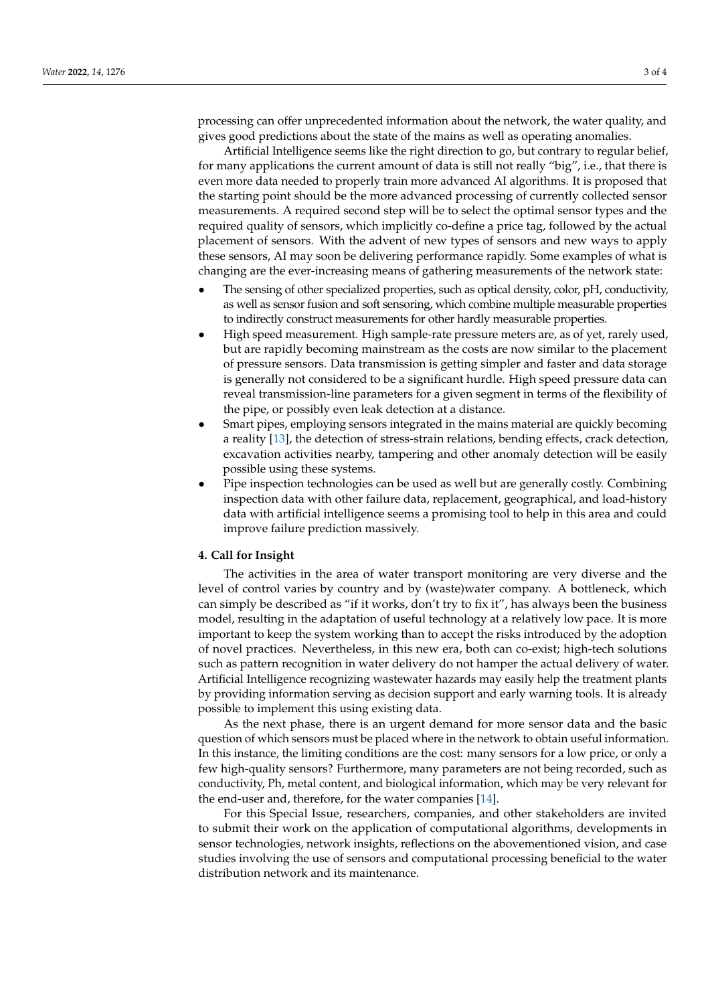processing can offer unprecedented information about the network, the water quality, and gives good predictions about the state of the mains as well as operating anomalies.

Artificial Intelligence seems like the right direction to go, but contrary to regular belief, for many applications the current amount of data is still not really "big", i.e., that there is even more data needed to properly train more advanced AI algorithms. It is proposed that the starting point should be the more advanced processing of currently collected sensor measurements. A required second step will be to select the optimal sensor types and the required quality of sensors, which implicitly co-define a price tag, followed by the actual placement of sensors. With the advent of new types of sensors and new ways to apply these sensors, AI may soon be delivering performance rapidly. Some examples of what is changing are the ever-increasing means of gathering measurements of the network state:

- The sensing of other specialized properties, such as optical density, color, pH, conductivity, as well as sensor fusion and soft sensoring, which combine multiple measurable properties to indirectly construct measurements for other hardly measurable properties.
- High speed measurement. High sample-rate pressure meters are, as of yet, rarely used, but are rapidly becoming mainstream as the costs are now similar to the placement of pressure sensors. Data transmission is getting simpler and faster and data storage is generally not considered to be a significant hurdle. High speed pressure data can reveal transmission-line parameters for a given segment in terms of the flexibility of the pipe, or possibly even leak detection at a distance.
- Smart pipes, employing sensors integrated in the mains material are quickly becoming a reality [\[13\]](#page-3-10), the detection of stress-strain relations, bending effects, crack detection, excavation activities nearby, tampering and other anomaly detection will be easily possible using these systems.
- Pipe inspection technologies can be used as well but are generally costly. Combining inspection data with other failure data, replacement, geographical, and load-history data with artificial intelligence seems a promising tool to help in this area and could improve failure prediction massively.

### **4. Call for Insight**

The activities in the area of water transport monitoring are very diverse and the level of control varies by country and by (waste)water company. A bottleneck, which can simply be described as "if it works, don't try to fix it", has always been the business model, resulting in the adaptation of useful technology at a relatively low pace. It is more important to keep the system working than to accept the risks introduced by the adoption of novel practices. Nevertheless, in this new era, both can co-exist; high-tech solutions such as pattern recognition in water delivery do not hamper the actual delivery of water. Artificial Intelligence recognizing wastewater hazards may easily help the treatment plants by providing information serving as decision support and early warning tools. It is already possible to implement this using existing data.

As the next phase, there is an urgent demand for more sensor data and the basic question of which sensors must be placed where in the network to obtain useful information. In this instance, the limiting conditions are the cost: many sensors for a low price, or only a few high-quality sensors? Furthermore, many parameters are not being recorded, such as conductivity, Ph, metal content, and biological information, which may be very relevant for the end-user and, therefore, for the water companies [\[14\]](#page-3-11).

For this Special Issue, researchers, companies, and other stakeholders are invited to submit their work on the application of computational algorithms, developments in sensor technologies, network insights, reflections on the abovementioned vision, and case studies involving the use of sensors and computational processing beneficial to the water distribution network and its maintenance.